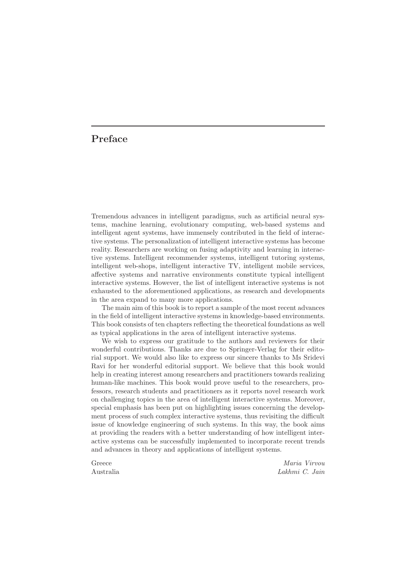# **Preface**

Tremendous advances in intelligent paradigms, such as artificial neural systems, machine learning, evolutionary computing, web-based systems and intelligent agent systems, have immensely contributed in the field of interactive systems. The personalization of intelligent interactive systems has become reality. Researchers are working on fusing adaptivity and learning in interactive systems. Intelligent recommender systems, intelligent tutoring systems, intelligent web-shops, intelligent interactive TV, intelligent mobile services, affective systems and narrative environments constitute typical intelligent interactive systems. However, the list of intelligent interactive systems is not exhausted to the aforementioned applications, as research and developments in the area expand to many more applications.

The main aim of this book is to report a sample of the most recent advances in the field of intelligent interactive systems in knowledge-based environments. This book consists of ten chapters reflecting the theoretical foundations as well as typical applications in the area of intelligent interactive systems.

We wish to express our gratitude to the authors and reviewers for their wonderful contributions. Thanks are due to Springer-Verlag for their editorial support. We would also like to express our sincere thanks to Ms Sridevi Ravi for her wonderful editorial support. We believe that this book would help in creating interest among researchers and practitioners towards realizing human-like machines. This book would prove useful to the researchers, professors, research students and practitioners as it reports novel research work on challenging topics in the area of intelligent interactive systems. Moreover, special emphasis has been put on highlighting issues concerning the development process of such complex interactive systems, thus revisiting the difficult issue of knowledge engineering of such systems. In this way, the book aims at providing the readers with a better understanding of how intelligent interactive systems can be successfully implemented to incorporate recent trends and advances in theory and applications of intelligent systems.

Greece *Maria Virvou* Australia *Lakhmi C. Jain*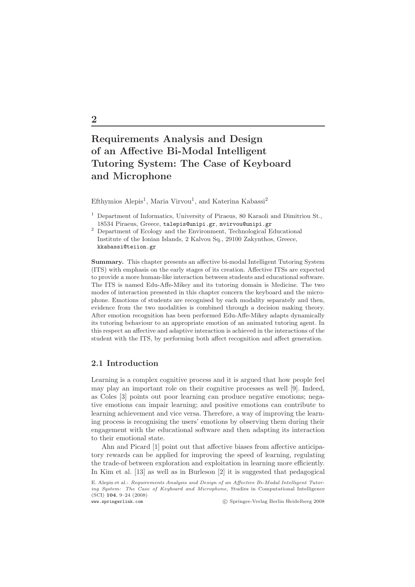# **Requirements Analysis and Design of an Affective Bi-Modal Intelligent Tutoring System: The Case of Keyboard and Microphone**

Efthymios Alepis<sup>1</sup>, Maria Virvou<sup>1</sup>, and Katerina Kabassi<sup>2</sup>

- <sup>1</sup> Department of Informatics, University of Piraeus, 80 Karaoli and Dimitriou St., 18534 Piraeus, Greece, talepis@unipi.gr, mvirvou@unipi.gr 2 Department of Ecology and the Environment, Technological Educational
- Institute of the Ionian Islands, 2 Kalvou Sq., 29100 Zakynthos, Greece, kkabassi@teiion.gr

**Summary.** This chapter presents an affective bi-modal Intelligent Tutoring System (ITS) with emphasis on the early stages of its creation. Affective ITSs are expected to provide a more human-like interaction between students and educational software. The ITS is named Edu-Affe-Mikey and its tutoring domain is Medicine. The two modes of interaction presented in this chapter concern the keyboard and the microphone. Emotions of students are recognised by each modality separately and then, evidence from the two modalities is combined through a decision making theory. After emotion recognition has been performed Edu-Affe-Mikey adapts dynamically its tutoring behaviour to an appropriate emotion of an animated tutoring agent. In this respect an affective and adaptive interaction is achieved in the interactions of the student with the ITS, by performing both affect recognition and affect generation.

## **2.1 Introduction**

**2**

Learning is a complex cognitive process and it is argued that how people feel may play an important role on their cognitive processes as well [9]. Indeed, as Coles [3] points out poor learning can produce negative emotions; negative emotions can impair learning; and positive emotions can contribute to learning achievement and vice versa. Therefore, a way of improving the learning process is recognising the users' emotions by observing them during their engagement with the educational software and then adapting its interaction to their emotional state.

Ahn and Picard [1] point out that affective biases from affective anticipatory rewards can be applied for improving the speed of learning, regulating the trade-of between exploration and exploitation in learning more efficiently. In Kim et al. [13] as well as in Burleson [2] it is suggested that pedagogical

www.springerlink.com <sup>c</sup> Springer-Verlag Berlin Heidelberg 2008

E. Alepis et al.: Requirements Analysis and Design of an Affective Bi-Modal Intelligent Tutoring System: The Case of Keyboard and Microphone, Studies in Computational Intelligence (SCI) **104**, 9–24 (2008)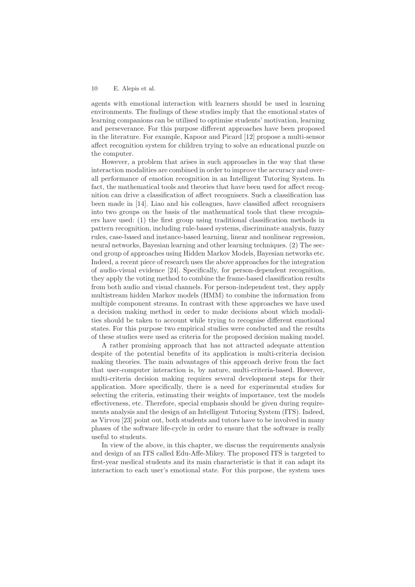agents with emotional interaction with learners should be used in learning environments. The findings of these studies imply that the emotional states of learning companions can be utilised to optimise students' motivation, learning and perseverance. For this purpose different approaches have been proposed in the literature. For example, Kapoor and Picard [12] propose a multi-sensor affect recognition system for children trying to solve an educational puzzle on the computer.

However, a problem that arises in such approaches in the way that these interaction modalities are combined in order to improve the accuracy and overall performance of emotion recognition in an Intelligent Tutoring System. In fact, the mathematical tools and theories that have been used for affect recognition can drive a classification of affect recognisers. Such a classification has been made in [14]. Liao and his colleagues, have classified affect recognisers into two groups on the basis of the mathematical tools that these recognisers have used: (1) the first group using traditional classification methods in pattern recognition, including rule-based systems, discriminate analysis, fuzzy rules, case-based and instance-based learning, linear and nonlinear regression, neural networks, Bayesian learning and other learning techniques. (2) The second group of approaches using Hidden Markov Models, Bayesian networks etc. Indeed, a recent piece of research uses the above approaches for the integration of audio-visual evidence [24]. Specifically, for person-dependent recognition, they apply the voting method to combine the frame-based classification results from both audio and visual channels. For person-independent test, they apply multistream hidden Markov models (HMM) to combine the information from multiple component streams. In contrast with these approaches we have used a decision making method in order to make decisions about which modalities should be taken to account while trying to recognise different emotional states. For this purpose two empirical studies were conducted and the results of these studies were used as criteria for the proposed decision making model.

A rather promising approach that has not attracted adequate attention despite of the potential benefits of its application is multi-criteria decision making theories. The main advantages of this approach derive from the fact that user-computer interaction is, by nature, multi-criteria-based. However, multi-criteria decision making requires several development steps for their application. More specifically, there is a need for experimental studies for selecting the criteria, estimating their weights of importance, test the models effectiveness, etc. Therefore, special emphasis should be given during requirements analysis and the design of an Intelligent Tutoring System (ITS). Indeed, as Virvou [23] point out, both students and tutors have to be involved in many phases of the software life-cycle in order to ensure that the software is really useful to students.

In view of the above, in this chapter, we discuss the requirements analysis and design of an ITS called Edu-Affe-Mikey. The proposed ITS is targeted to first-year medical students and its main characteristic is that it can adapt its interaction to each user's emotional state. For this purpose, the system uses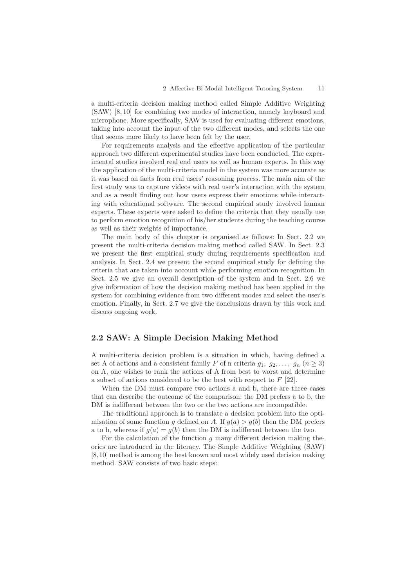a multi-criteria decision making method called Simple Additive Weighting (SAW) [8, 10] for combining two modes of interaction, namely keyboard and microphone. More specifically, SAW is used for evaluating different emotions, taking into account the input of the two different modes, and selects the one that seems more likely to have been felt by the user.

For requirements analysis and the effective application of the particular approach two different experimental studies have been conducted. The experimental studies involved real end users as well as human experts. In this way the application of the multi-criteria model in the system was more accurate as it was based on facts from real users' reasoning process. The main aim of the first study was to capture videos with real user's interaction with the system and as a result finding out how users express their emotions while interacting with educational software. The second empirical study involved human experts. These experts were asked to define the criteria that they usually use to perform emotion recognition of his/her students during the teaching course as well as their weights of importance.

The main body of this chapter is organised as follows: In Sect. 2.2 we present the multi-criteria decision making method called SAW. In Sect. 2.3 we present the first empirical study during requirements specification and analysis. In Sect. 2.4 we present the second empirical study for defining the criteria that are taken into account while performing emotion recognition. In Sect. 2.5 we give an overall description of the system and in Sect. 2.6 we give information of how the decision making method has been applied in the system for combining evidence from two different modes and select the user's emotion. Finally, in Sect. 2.7 we give the conclusions drawn by this work and discuss ongoing work.

## **2.2 SAW: A Simple Decision Making Method**

A multi-criteria decision problem is a situation in which, having defined a set A of actions and a consistent family *F* of n criteria  $g_1, g_2, \ldots, g_n$  ( $n \geq 3$ ) on A, one wishes to rank the actions of A from best to worst and determine a subset of actions considered to be the best with respect to *F* [22].

When the DM must compare two actions a and b, there are three cases that can describe the outcome of the comparison: the DM prefers a to b, the DM is indifferent between the two or the two actions are incompatible.

The traditional approach is to translate a decision problem into the optimisation of some function *g* defined on *A*. If  $g(a) > g(b)$  then the DM prefers a to b, whereas if  $g(a) = g(b)$  then the DM is indifferent between the two.

For the calculation of the function *g* many different decision making theories are introduced in the literacy. The Simple Additive Weighting (SAW) [8,10] method is among the best known and most widely used decision making method. SAW consists of two basic steps: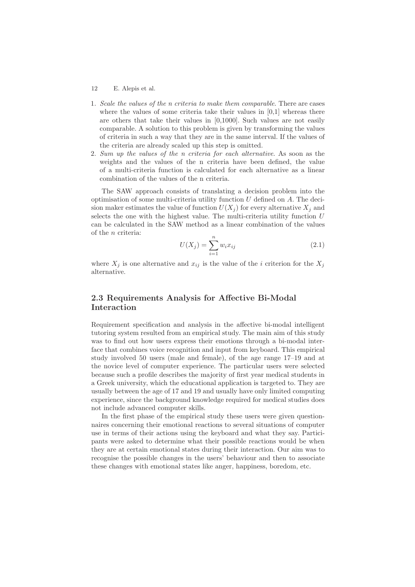- 12 E. Alepis et al.
- 1. *Scale the values of the n criteria to make them comparable*. There are cases where the values of some criteria take their values in [0,1] whereas there are others that take their values in [0,1000]. Such values are not easily comparable. A solution to this problem is given by transforming the values of criteria in such a way that they are in the same interval. If the values of the criteria are already scaled up this step is omitted.
- 2. *Sum up the values of the n criteria for each alternative*. As soon as the weights and the values of the n criteria have been defined, the value of a multi-criteria function is calculated for each alternative as a linear combination of the values of the n criteria.

The SAW approach consists of translating a decision problem into the optimisation of some multi-criteria utility function *U* defined on *A*. The decision maker estimates the value of function  $U(X_i)$  for every alternative  $X_i$  and selects the one with the highest value. The multi-criteria utility function *U* can be calculated in the SAW method as a linear combination of the values of the *n* criteria:

$$
U(X_j) = \sum_{i=1}^{n} w_i x_{ij}
$$
 (2.1)

where  $X_i$  is one alternative and  $x_{ij}$  is the value of the *i* criterion for the  $X_i$ alternative.

# **2.3 Requirements Analysis for Affective Bi-Modal Interaction**

Requirement specification and analysis in the affective bi-modal intelligent tutoring system resulted from an empirical study. The main aim of this study was to find out how users express their emotions through a bi-modal interface that combines voice recognition and input from keyboard. This empirical study involved 50 users (male and female), of the age range 17–19 and at the novice level of computer experience. The particular users were selected because such a profile describes the majority of first year medical students in a Greek university, which the educational application is targeted to. They are usually between the age of 17 and 19 and usually have only limited computing experience, since the background knowledge required for medical studies does not include advanced computer skills.

In the first phase of the empirical study these users were given questionnaires concerning their emotional reactions to several situations of computer use in terms of their actions using the keyboard and what they say. Participants were asked to determine what their possible reactions would be when they are at certain emotional states during their interaction. Our aim was to recognise the possible changes in the users' behaviour and then to associate these changes with emotional states like anger, happiness, boredom, etc.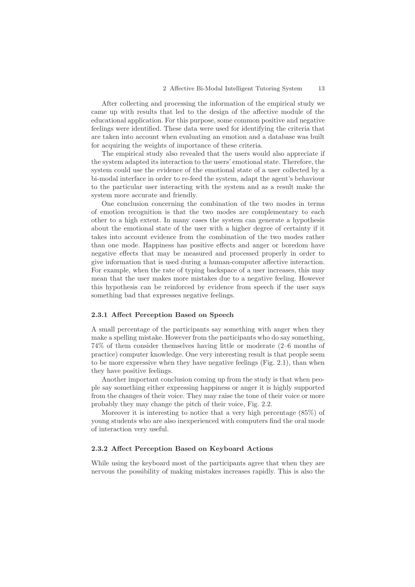After collecting and processing the information of the empirical study we came up with results that led to the design of the affective module of the educational application. For this purpose, some common positive and negative feelings were identified. These data were used for identifying the criteria that are taken into account when evaluating an emotion and a database was built for acquiring the weights of importance of these criteria.

The empirical study also revealed that the users would also appreciate if the system adapted its interaction to the users' emotional state. Therefore, the system could use the evidence of the emotional state of a user collected by a bi-modal interface in order to re-feed the system, adapt the agent's behaviour to the particular user interacting with the system and as a result make the system more accurate and friendly.

One conclusion concerning the combination of the two modes in terms of emotion recognition is that the two modes are complementary to each other to a high extent. In many cases the system can generate a hypothesis about the emotional state of the user with a higher degree of certainty if it takes into account evidence from the combination of the two modes rather than one mode. Happiness has positive effects and anger or boredom have negative effects that may be measured and processed properly in order to give information that is used during a human-computer affective interaction. For example, when the rate of typing backspace of a user increases, this may mean that the user makes more mistakes due to a negative feeling. However this hypothesis can be reinforced by evidence from speech if the user says something bad that expresses negative feelings.

#### **2.3.1 Affect Perception Based on Speech**

A small percentage of the participants say something with anger when they make a spelling mistake. However from the participants who do say something, 74% of them consider themselves having little or moderate (2–6 months of practice) computer knowledge. One very interesting result is that people seem to be more expressive when they have negative feelings (Fig. 2.1), than when they have positive feelings.

Another important conclusion coming up from the study is that when people say something either expressing happiness or anger it is highly supported from the changes of their voice. They may raise the tone of their voice or more probably they may change the pitch of their voice, Fig. 2.2.

Moreover it is interesting to notice that a very high percentage (85%) of young students who are also inexperienced with computers find the oral mode of interaction very useful.

#### **2.3.2 Affect Perception Based on Keyboard Actions**

While using the keyboard most of the participants agree that when they are nervous the possibility of making mistakes increases rapidly. This is also the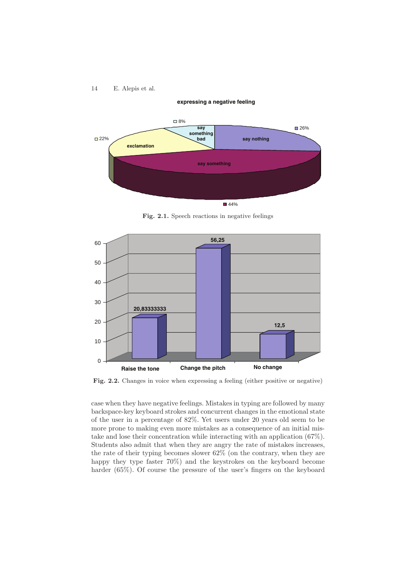

**expressing a negative feeling**

Fig. 2.1. Speech reactions in negative feelings



**Fig. 2.2.** Changes in voice when expressing a feeling (either positive or negative)

case when they have negative feelings. Mistakes in typing are followed by many backspace-key keyboard strokes and concurrent changes in the emotional state of the user in a percentage of 82%. Yet users under 20 years old seem to be more prone to making even more mistakes as a consequence of an initial mistake and lose their concentration while interacting with an application (67%). Students also admit that when they are angry the rate of mistakes increases, the rate of their typing becomes slower 62% (on the contrary, when they are happy they type faster 70%) and the keystrokes on the keyboard become harder (65%). Of course the pressure of the user's fingers on the keyboard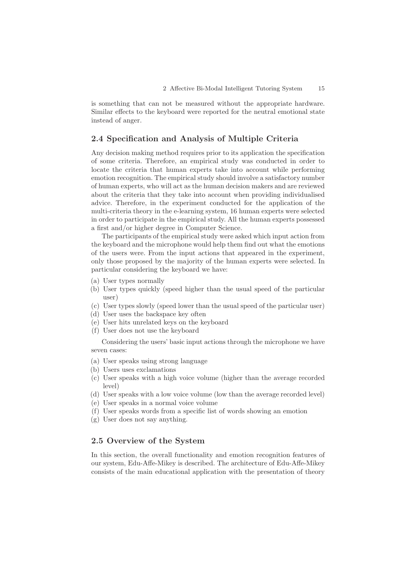is something that can not be measured without the appropriate hardware. Similar effects to the keyboard were reported for the neutral emotional state instead of anger.

## **2.4 Specification and Analysis of Multiple Criteria**

Any decision making method requires prior to its application the specification of some criteria. Therefore, an empirical study was conducted in order to locate the criteria that human experts take into account while performing emotion recognition. The empirical study should involve a satisfactory number of human experts, who will act as the human decision makers and are reviewed about the criteria that they take into account when providing individualised advice. Therefore, in the experiment conducted for the application of the multi-criteria theory in the e-learning system, 16 human experts were selected in order to participate in the empirical study. All the human experts possessed a first and/or higher degree in Computer Science.

The participants of the empirical study were asked which input action from the keyboard and the microphone would help them find out what the emotions of the users were. From the input actions that appeared in the experiment, only those proposed by the majority of the human experts were selected. In particular considering the keyboard we have:

- (a) User types normally
- (b) User types quickly (speed higher than the usual speed of the particular user)
- (c) User types slowly (speed lower than the usual speed of the particular user)
- (d) User uses the backspace key often
- (e) User hits unrelated keys on the keyboard
- (f) User does not use the keyboard

Considering the users' basic input actions through the microphone we have seven cases:

- (a) User speaks using strong language
- (b) Users uses exclamations
- (c) User speaks with a high voice volume (higher than the average recorded level)
- (d) User speaks with a low voice volume (low than the average recorded level)
- (e) User speaks in a normal voice volume
- (f) User speaks words from a specific list of words showing an emotion
- (g) User does not say anything.

# **2.5 Overview of the System**

In this section, the overall functionality and emotion recognition features of our system, Edu-Affe-Mikey is described. The architecture of Edu-Affe-Mikey consists of the main educational application with the presentation of theory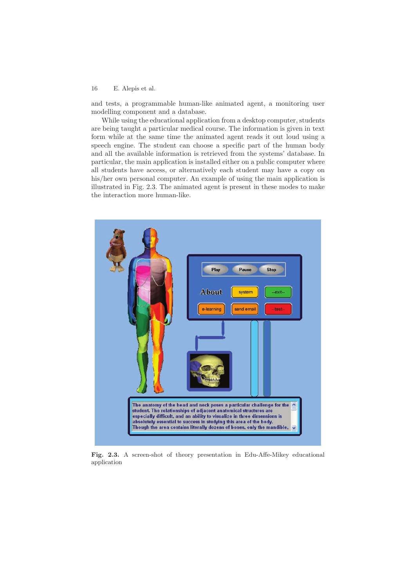and tests, a programmable human-like animated agent, a monitoring user modelling component and a database.

While using the educational application from a desktop computer, students are being taught a particular medical course. The information is given in text form while at the same time the animated agent reads it out loud using a speech engine. The student can choose a specific part of the human body and all the available information is retrieved from the systems' database. In particular, the main application is installed either on a public computer where all students have access, or alternatively each student may have a copy on his/her own personal computer. An example of using the main application is illustrated in Fig. 2.3. The animated agent is present in these modes to make the interaction more human-like.



**Fig. 2.3.** A screen-shot of theory presentation in Edu-Affe-Mikey educational application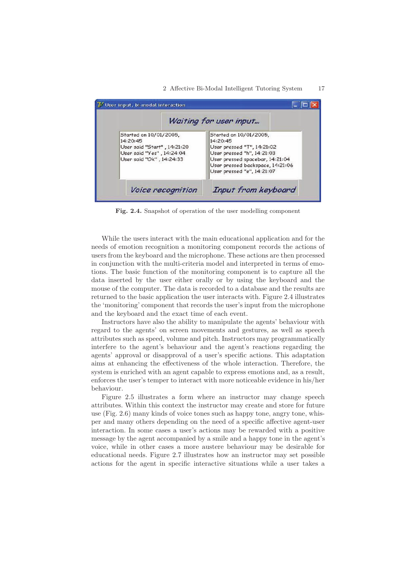#### 2 Affective Bi-Modal Intelligent Tutoring System 17

|                                                                                                                            | Waiting for user input                                                                                                                                                                              |
|----------------------------------------------------------------------------------------------------------------------------|-----------------------------------------------------------------------------------------------------------------------------------------------------------------------------------------------------|
| Started on 10/01/2005,<br>14:20:45<br>User said "Start", 14:21:20<br>User said "Yes", 14:24:04<br>User said "Ok", 14:24:33 | Started on 10/01/2005,<br>14:20:45<br>User pressed "T", 14:21:02<br>User pressed "h", 14:21:03<br>User pressed spacebar, 14:21:04<br>User pressed backspace, 14:21:06<br>User pressed "e", 14:21:07 |
| <i>Voice recognition</i>                                                                                                   | Input from keyboard                                                                                                                                                                                 |

**Fig. 2.4.** Snapshot of operation of the user modelling component

While the users interact with the main educational application and for the needs of emotion recognition a monitoring component records the actions of users from the keyboard and the microphone. These actions are then processed in conjunction with the multi-criteria model and interpreted in terms of emotions. The basic function of the monitoring component is to capture all the data inserted by the user either orally or by using the keyboard and the mouse of the computer. The data is recorded to a database and the results are returned to the basic application the user interacts with. Figure 2.4 illustrates the 'monitoring' component that records the user's input from the microphone and the keyboard and the exact time of each event.

Instructors have also the ability to manipulate the agents' behaviour with regard to the agents' on screen movements and gestures, as well as speech attributes such as speed, volume and pitch. Instructors may programmatically interfere to the agent's behaviour and the agent's reactions regarding the agents' approval or disapproval of a user's specific actions. This adaptation aims at enhancing the effectiveness of the whole interaction. Therefore, the system is enriched with an agent capable to express emotions and, as a result, enforces the user's temper to interact with more noticeable evidence in his/her behaviour.

Figure 2.5 illustrates a form where an instructor may change speech attributes. Within this context the instructor may create and store for future use (Fig. 2.6) many kinds of voice tones such as happy tone, angry tone, whisper and many others depending on the need of a specific affective agent-user interaction. In some cases a user's actions may be rewarded with a positive message by the agent accompanied by a smile and a happy tone in the agent's voice, while in other cases a more austere behaviour may be desirable for educational needs. Figure 2.7 illustrates how an instructor may set possible actions for the agent in specific interactive situations while a user takes a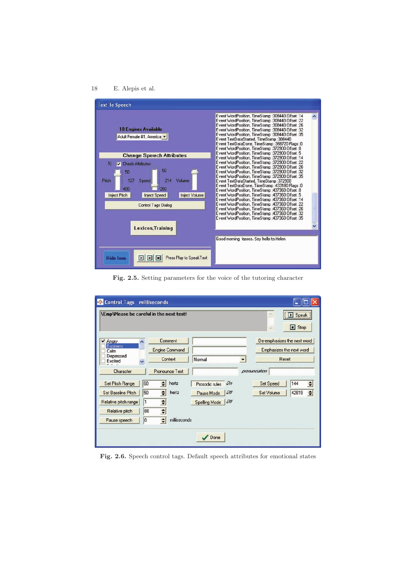| <b>Text To Speech</b>                                                                                                                                                                                         |                                                                                                                                                                                                                                                                                                                                                                                                                                                                                                                                                                                                                                                                                                                                                                                                                                            |  |
|---------------------------------------------------------------------------------------------------------------------------------------------------------------------------------------------------------------|--------------------------------------------------------------------------------------------------------------------------------------------------------------------------------------------------------------------------------------------------------------------------------------------------------------------------------------------------------------------------------------------------------------------------------------------------------------------------------------------------------------------------------------------------------------------------------------------------------------------------------------------------------------------------------------------------------------------------------------------------------------------------------------------------------------------------------------------|--|
| <b>10 Engines Available</b><br>Adult Female #1, America v<br><b>Change Speech Attributes</b><br>51<br>$\triangledown$ Check Attributes<br>50<br>50<br>127<br>Pitch<br>214<br>Volume<br>Speed<br>$-400$<br>250 | Event WordPosition, TimeStamp: 308440 Offset: 14<br>Event WordPosition, TimeStamp:308440 Offset:22<br>Event WordPosition, TimeStamp: 308440 Offset: 26<br>Event WordPosition, TimeStamp : 308440 Offset : 32<br>Event WordPosition, TimeStamp : 308440 Offset : 35<br>Event TextDataStarted, TimeStamp :308440<br>Event TextDataDone, TimeStamp: 368720 Flags: 0<br>Event WordPosition, TimeStamp: 372900 Offset: 0<br>Event WordPosition, TimeStamp: 372900 Offset: 5<br>Event WordPosition, TimeStamp: 372900 Offset: 14<br>Event WordPosition, TimeStamp: 372900 Offset: 22<br>Event WordPosition, TimeStamp : 372900 Offset : 26<br>Event WordPosition, TimeStamp :372900 Offset :32<br>Event WordPosition, TimeStamp: 372900 Offset: 35<br>Event TextDataStarted, TimeStamp: 372900<br>Event TextDataDone, TimeStamp: 433180 Flags: 0 |  |
| <b>Inject Volume</b><br><b>Inject Pitch</b><br><b>Inject Speed</b><br><b>Control Tags Dialog</b>                                                                                                              | Event WordPosition, TimeStamp: 437360 Offset: 0<br>Event WordPosition, TimeStamp: 437360 Offset: 5<br>Event WordPosition, TimeStamp: 437360 Offset: 14<br>Event WordPosition, TimeStamp:437360 Offset:22<br>Event WordPosition, TimeStamp: 437360 Offset: 26<br>Event WordPosition, TimeStamp: 437360 Offset: 32<br>Event WordPosition, TimeStamp: 437360 Offset: 35                                                                                                                                                                                                                                                                                                                                                                                                                                                                       |  |
| <b>Lexicon, Training</b>                                                                                                                                                                                      |                                                                                                                                                                                                                                                                                                                                                                                                                                                                                                                                                                                                                                                                                                                                                                                                                                            |  |
| Press Play to SpeakText<br><b>Hide form</b><br>П<br>$\sqrt{m}$                                                                                                                                                | Good morning tassos, Say hello to Helen                                                                                                                                                                                                                                                                                                                                                                                                                                                                                                                                                                                                                                                                                                                                                                                                    |  |

**Fig. 2.5.** Setting parameters for the voice of the tutoring character

| <b>W</b> Control Tags - milliseconds            |                              |                           |                |            |                     |                                                         |
|-------------------------------------------------|------------------------------|---------------------------|----------------|------------|---------------------|---------------------------------------------------------|
| <b>\Emp\Please be careful in the next test!</b> |                              |                           |                |            | ô,<br>$\mathcal{L}$ | Speak<br>Stop                                           |
| ✔ Angry<br><b>Business</b>                      |                              | Comment<br>Engine Command |                |            |                     | De-emphasizes the next word<br>Emphasizes the next word |
| Calm<br>Depressed<br>Excited                    |                              | Context                   | Normal         |            |                     | Reset                                                   |
| Character                                       |                              | Pronounce Text            |                |            | pronunciation       |                                                         |
| Set Pitch Range                                 | 60<br>$\left  \cdot \right $ | hertz                     | Prosodic rules | Cn         | Set Speed           | 144<br>$\Rightarrow$                                    |
| Set Baseline Pitch                              | 50                           | hertz                     | Pause Mode     | <b>Off</b> | Set Volume          | 42819<br>$\Rightarrow$                                  |
| Relative pitch range                            | 1<br>쉬                       |                           | Spelling Mode  | QH         |                     |                                                         |
| Relative pitch                                  | $\div$<br>88                 |                           |                |            |                     |                                                         |
| Pause speech                                    | ÷<br>10                      | milliseconds              |                |            |                     |                                                         |
|                                                 |                              |                           | $\sqrt{}$ Done |            |                     |                                                         |

Fig. 2.6. Speech control tags. Default speech attributes for emotional states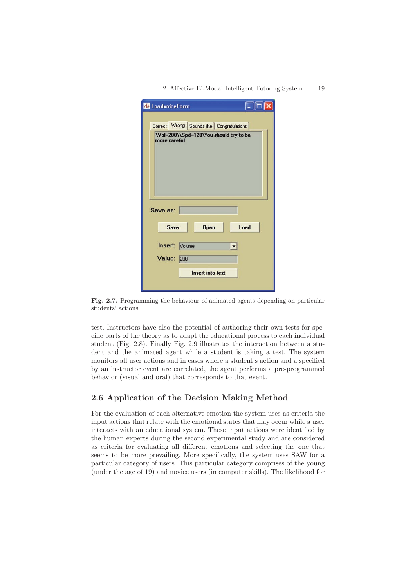|          |                   | Correct Wrong Sounds like Congratulations |      |  |
|----------|-------------------|-------------------------------------------|------|--|
|          |                   | \Vol=200\\Spd=120\You should try to be    |      |  |
|          | more careful      |                                           |      |  |
|          |                   |                                           |      |  |
|          |                   |                                           |      |  |
|          | Save              | <b>Open</b>                               | Load |  |
|          |                   |                                           |      |  |
| Save as: | Insert: Volume    |                                           |      |  |
|          | <b>Value: 200</b> |                                           |      |  |

## 2 Affective Bi-Modal Intelligent Tutoring System 19

**Fig. 2.7.** Programming the behaviour of animated agents depending on particular students' actions

test. Instructors have also the potential of authoring their own tests for specific parts of the theory as to adapt the educational process to each individual student (Fig. 2.8). Finally Fig. 2.9 illustrates the interaction between a student and the animated agent while a student is taking a test. The system monitors all user actions and in cases where a student's action and a specified by an instructor event are correlated, the agent performs a pre-programmed behavior (visual and oral) that corresponds to that event.

# **2.6 Application of the Decision Making Method**

For the evaluation of each alternative emotion the system uses as criteria the input actions that relate with the emotional states that may occur while a user interacts with an educational system. These input actions were identified by the human experts during the second experimental study and are considered as criteria for evaluating all different emotions and selecting the one that seems to be more prevailing. More specifically, the system uses SAW for a particular category of users. This particular category comprises of the young (under the age of 19) and novice users (in computer skills). The likelihood for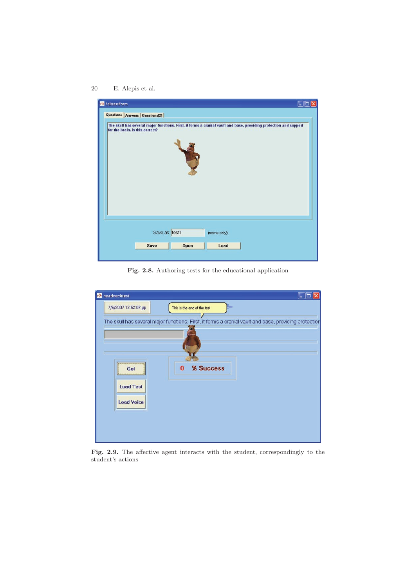| EdittestForm | Questions Answers Questions(2)                                                                                                                       |
|--------------|------------------------------------------------------------------------------------------------------------------------------------------------------|
|              | The skull has several major functions. First, it forms a cranial vault and base, providing protection and support<br>for the brain. Is this correct? |
|              | Save as: test1<br>(name only)<br>Save<br>Open<br>Load                                                                                                |

**Fig. 2.8.** Authoring tests for the educational application

| <b>A</b> headnecktest                        |                                                                                                                                |
|----------------------------------------------|--------------------------------------------------------------------------------------------------------------------------------|
| 7/6/2007 12:52:07 µµ                         | This is the end of the test                                                                                                    |
| Gol<br><b>Load Test</b><br><b>Load Voice</b> | The skull has several major functions. First, it forms a cranial vault and base, providing protectior<br>% Success<br>$\bf{0}$ |

**Fig. 2.9.** The affective agent interacts with the student, correspondingly to the student's actions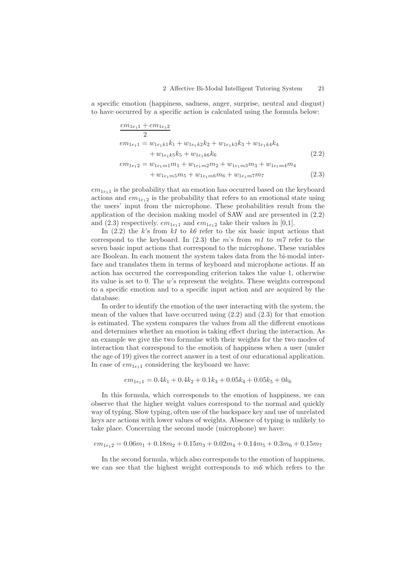a specific emotion (happiness, sadness, anger, surprise, neutral and disgust) to have occurred by a specific action is calculated using the formula below:

$$
\begin{aligned}\n &\underline{em_{1e_{1}1} + em_{1e_{1}2}} \\
&\underline{2} \\
&\underline{em_{1e_{1}1} = w_{1e_{1}k1}k_{1} + w_{1e_{1}k2}k_{2} + w_{1e_{1}k3}k_{3} + w_{1e_{1}k4}k_{4}} \\
&\quad + w_{1e_{1}k5}k_{5} + w_{1e_{1}k6}k_{6} \\
&\underline{em_{1e_{1}2} = w_{1e_{1}m1}m_{1} + w_{1e_{1}m2}m_{2} + w_{1e_{1}m3}m_{3} + w_{1e_{1}m4}m_{4}} \\
&\quad + w_{1e_{1}m5}m_{5} + w_{1e_{1}m6}m_{6} + w_{1e_{1}m7}m_{7}\n \end{aligned}\n \tag{2.3}
$$

 $em_{1e_11}$  is the probability that an emotion has occurred based on the keyboard actions and  $em_{1e_12}$  is the probability that refers to an emotional state using the users' input from the microphone. These probabilities result from the application of the decision making model of SAW and are presented in (2.2) and (2.3) respectively.  $em_{1e_11}$  and  $em_{1e_12}$  take their values in [0,1].

In (2.2) the *k*'s from *k1* to *k6* refer to the six basic input actions that correspond to the keyboard. In (2.3) the *m*'s from *m1* to *m7* refer to the seven basic input actions that correspond to the microphone. These variables are Boolean. In each moment the system takes data from the bi-modal interface and translates them in terms of keyboard and microphone actions. If an action has occurred the corresponding criterion takes the value 1, otherwise its value is set to 0. The *w*'s represent the weights. These weights correspond to a specific emotion and to a specific input action and are acquired by the database.

In order to identify the emotion of the user interacting with the system, the mean of the values that have occurred using  $(2.2)$  and  $(2.3)$  for that emotion is estimated. The system compares the values from all the different emotions and determines whether an emotion is taking effect during the interaction. As an example we give the two formulae with their weights for the two modes of interaction that correspond to the emotion of happiness when a user (under the age of 19) gives the correct answer in a test of our educational application. In case of  $em_{1e_11}$  considering the keyboard we have:

$$
em_{1e_11} = 0.4k_1 + 0.4k_2 + 0.1k_3 + 0.05k_4 + 0.05k_5 + 0k_6
$$

In this formula, which corresponds to the emotion of happiness, we can observe that the higher weight values correspond to the normal and quickly way of typing. Slow typing, often use of the backspace key and use of unrelated keys are actions with lower values of weights. Absence of typing is unlikely to take place. Concerning the second mode (microphone) we have:

$$
em_{1e_12} = 0.06m_1 + 0.18m_2 + 0.15m_3 + 0.02m_4 + 0.14m_5 + 0.3m_6 + 0.15m_7
$$

In the second formula, which also corresponds to the emotion of happiness, we can see that the highest weight corresponds to *m6* which refers to the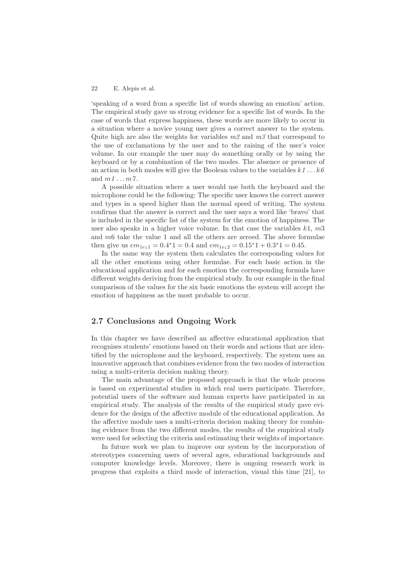'speaking of a word from a specific list of words showing an emotion' action. The empirical study gave us strong evidence for a specific list of words. In the case of words that express happiness, these words are more likely to occur in a situation where a novice young user gives a correct answer to the system. Quite high are also the weights for variables *m2* and *m3* that correspond to the use of exclamations by the user and to the raising of the user's voice volume. In our example the user may do something orally or by using the keyboard or by a combination of the two modes. The absence or presence of an action in both modes will give the Boolean values to the variables *k<sup>1</sup> ...k<sup>6</sup>* and *m<sup>1</sup> ...m7*.

A possible situation where a user would use both the keyboard and the microphone could be the following: The specific user knows the correct answer and types in a speed higher than the normal speed of writing. The system confirms that the answer is correct and the user says a word like 'bravo' that is included in the specific list of the system for the emotion of happiness. The user also speaks in a higher voice volume. In that case the variables *k*1, *m*<sup>3</sup> and *m*6 take the value 1 and all the others are zeroed. The above formulae then give us  $em_{1e_11} = 0.4^*1 = 0.4$  and  $em_{1e_12} = 0.15^*1 + 0.3^*1 = 0.45$ .

In the same way the system then calculates the corresponding values for all the other emotions using other formulae. For each basic action in the educational application and for each emotion the corresponding formula have different weights deriving from the empirical study. In our example in the final comparison of the values for the six basic emotions the system will accept the emotion of happiness as the most probable to occur.

### **2.7 Conclusions and Ongoing Work**

In this chapter we have described an affective educational application that recognises students' emotions based on their words and actions that are identified by the microphone and the keyboard, respectively. The system uses an innovative approach that combines evidence from the two modes of interaction using a multi-criteria decision making theory.

The main advantage of the proposed approach is that the whole process is based on experimental studies in which real users participate. Therefore, potential users of the software and human experts have participated in an empirical study. The analysis of the results of the empirical study gave evidence for the design of the affective module of the educational application. As the affective module uses a multi-criteria decision making theory for combining evidence from the two different modes, the results of the empirical study were used for selecting the criteria and estimating their weights of importance.

In future work we plan to improve our system by the incorporation of stereotypes concerning users of several ages, educational backgrounds and computer knowledge levels. Moreover, there is ongoing research work in progress that exploits a third mode of interaction, visual this time [21], to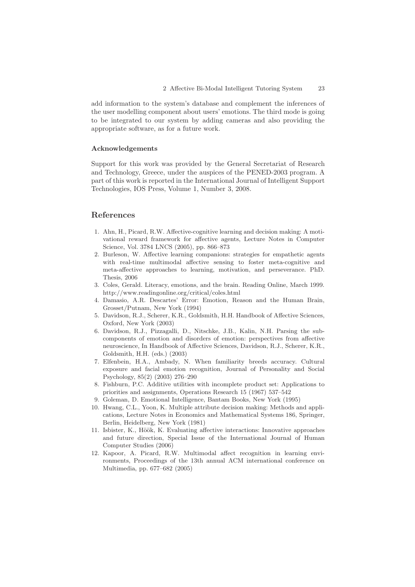add information to the system's database and complement the inferences of the user modelling component about users' emotions. The third mode is going to be integrated to our system by adding cameras and also providing the appropriate software, as for a future work.

### **Acknowledgements**

Support for this work was provided by the General Secretariat of Research and Technology, Greece, under the auspices of the PENED-2003 program. A part of this work is reported in the International Journal of Intelligent Support Technologies, IOS Press, Volume 1, Number 3, 2008.

### **References**

- 1. Ahn, H., Picard, R.W. Affective-cognitive learning and decision making: A motivational reward framework for affective agents, Lecture Notes in Computer Science, Vol. 3784 LNCS (2005), pp. 866–873
- 2. Burleson, W. Affective learning companions: strategies for empathetic agents with real-time multimodal affective sensing to foster meta-cognitive and meta-affective approaches to learning, motivation, and perseverance. PhD. Thesis, 2006
- 3. Coles, Gerald. Literacy, emotions, and the brain. Reading Online, March 1999. http://www.readingonline.org/critical/coles.html
- 4. Damasio, A.R. Descartes' Error: Emotion, Reason and the Human Brain, Grosset/Putnam, New York (1994)
- 5. Davidson, R.J., Scherer, K.R., Goldsmith, H.H. Handbook of Affective Sciences, Oxford, New York (2003)
- 6. Davidson, R.J., Pizzagalli, D., Nitschke, J.B., Kalin, N.H. Parsing the subcomponents of emotion and disorders of emotion: perspectives from affective neuroscience, In Handbook of Affective Sciences, Davidson, R.J., Scherer, K.R., Goldsmith, H.H. (eds.) (2003)
- 7. Elfenbein, H.A., Ambady, N. When familiarity breeds accuracy. Cultural exposure and facial emotion recognition, Journal of Personality and Social Psychology, 85(2) (2003) 276–290
- 8. Fishburn, P.C. Additive utilities with incomplete product set: Applications to priorities and assignments, Operations Research 15 (1967) 537–542
- 9. Goleman, D. Emotional Intelligence, Bantam Books, New York (1995)
- 10. Hwang, C.L., Yoon, K. Multiple attribute decision making: Methods and applications, Lecture Notes in Economics and Mathematical Systems 186, Springer, Berlin, Heidelberg, New York (1981)
- 11. Isbister, K., Höök, K. Evaluating affective interactions: Innovative approaches and future direction, Special Issue of the International Journal of Human Computer Studies (2006)
- 12. Kapoor, A. Picard, R.W. Multimodal affect recognition in learning environments, Proceedings of the 13th annual ACM international conference on Multimedia, pp. 677–682 (2005)